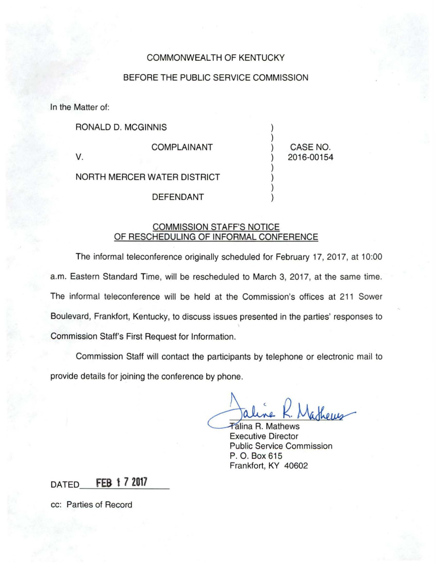## COMMONWEALTH OF KENTUCKY

## BEFORE THE PUBLIC SERVICE COMMISSION

In the Matter of:

RONALD D. MCGINNIS )

COMPLAINANT ) CASE NO.

v. ) 2016-00154

)

)

)

NORTH MERCER WATER DISTRICT )

**DEFENDANT** 

## COMMISSION STAFF'S NOTICE OF RESCHEDULING OF INFORMAL CONFERENCE

The informal teleconference originally scheduled for February 17, 2017, at 10:00 a.m. Eastern Standard Time, will be rescheduled to March 3, 2017, at the same time. The informal teleconference will be held at the Commission's offices at 211 Sower Boulevard, Frankfort, Kentucky, to discuss issues presented in the parties' responses to Commission Staff's First Request for Information.

Commission Staff will contact the participants by telephone or electronic mail to provide details for joining the conference by phone.

aline K. Mathews

**Talina R. Mathews** Executive Director Public Service Commission P. O. Box 615 Frankfort, KY 40602

## **DATED FEB 1 7 2017**

cc: Parties of Record